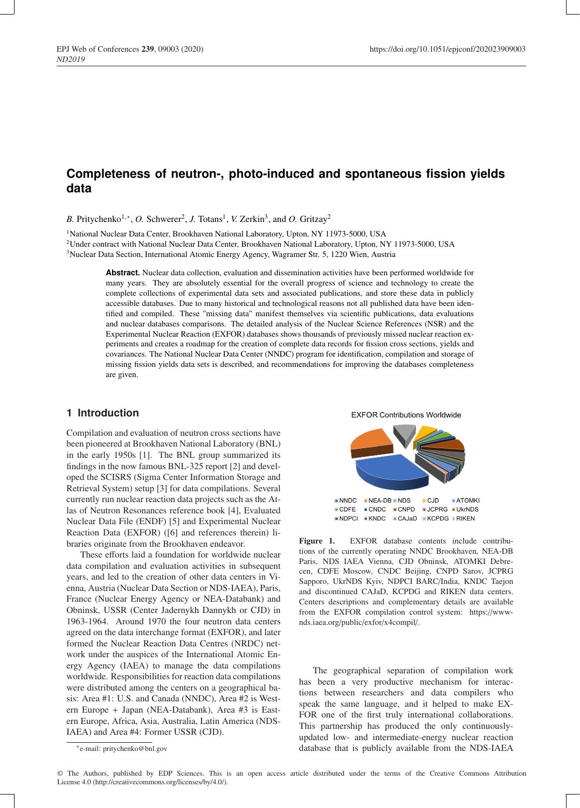# **Completeness of neutron-, photo-induced and spontaneous fission yields data**

B. Pritychenko<sup>1,\*</sup>, *O.* Schwerer<sup>2</sup>, *J.* Totans<sup>1</sup>, *V.* Zerkin<sup>3</sup>, and *O.* Gritzay<sup>2</sup>

<sup>1</sup>National Nuclear Data Center, Brookhaven National Laboratory, Upton, NY 11973-5000, USA

2Under contract with National Nuclear Data Center, Brookhaven National Laboratory, Upton, NY 11973-5000, USA

3Nuclear Data Section, International Atomic Energy Agency, Wagramer Str. 5, 1220 Wien, Austria

**Abstract.** Nuclear data collection, evaluation and dissemination activities have been performed worldwide for many years. They are absolutely essential for the overall progress of science and technology to create the complete collections of experimental data sets and associated publications, and store these data in publicly accessible databases. Due to many historical and technological reasons not all published data have been identified and compiled. These "missing data" manifest themselves via scientific publications, data evaluations and nuclear databases comparisons. The detailed analysis of the Nuclear Science References (NSR) and the Experimental Nuclear Reaction (EXFOR) databases shows thousands of previously missed nuclear reaction experiments and creates a roadmap for the creation of complete data records for fission cross sections, yields and covariances. The National Nuclear Data Center (NNDC) program for identification, compilation and storage of missing fission yields data sets is described, and recommendations for improving the databases completeness are given.

# **1 Introduction**

Compilation and evaluation of neutron cross sections have been pioneered at Brookhaven National Laboratory (BNL) in the early 1950s [1]. The BNL group summarized its findings in the now famous BNL-325 report [2] and developed the SCISRS (Sigma Center Information Storage and Retrieval System) setup [3] for data compilations. Several currently run nuclear reaction data projects such as the Atlas of Neutron Resonances reference book [4], Evaluated Nuclear Data File (ENDF) [5] and Experimental Nuclear Reaction Data (EXFOR) ([6] and references therein) libraries originate from the Brookhaven endeavor.

These e fforts laid a foundation for worldwide nuclear data compilation and evaluation activities in subsequent years, and led to the creation of other data centers in Vienna, Austria (Nuclear Data Section or NDS-IAEA), Paris, France (Nuclear Energy Agency or NEA-Databank) and Obninsk, USSR (Center Jadernykh Dannykh or CJD) in 1963-1964. Around 1970 the four neutron data centers agreed on the data interchange format (EXFOR), and later formed the Nuclear Reaction Data Centres (NRDC) network under the auspices of the International Atomic Energy Agency (IAEA) to manage the data compilations worldwide. Responsibilities for reaction data compilations were distributed among the centers on a geographical basis: Area #1: U.S. and Canada (NNDC), Area #2 is Western Europe + Japan (NEA-Databank), Area #3 is Eastern Europe, Africa, Asia, Australia, Latin America (NDS-IAEA) and Area #4: Former USSR (CJD).



Figure 1. EXFOR database contents include contributions of the currently operating NNDC Brookhaven, NEA-DB Paris, NDS IAEA Vienna, CJD Obninsk, ATOMKI Debrecen, CDFE Moscow, CNDC Beijing, CNPD Sarov, JCPRG Sapporo, UkrNDS Kyiv, NDPCI BARC /India, KNDC Taejon and discontinued CAJaD, KCPDG and RIKEN data centers. Centers descriptions and complementary details are available from the EXFOR compilation control system: https://wwwnds.iaea.org/public/exfor/x4compil/.

The geographical separation of compilation work has been a very productive mechanism for interactions between researchers and data compilers who speak the same language, and it helped to make EX-FOR one of the first truly international collaborations. This partnership has produced the only continuouslyupdated low- and intermediate-energy nuclear reaction database that is publicly available from the NDS-IAEA

<sup>∗</sup>e-mail: pritychenko@bnl.gov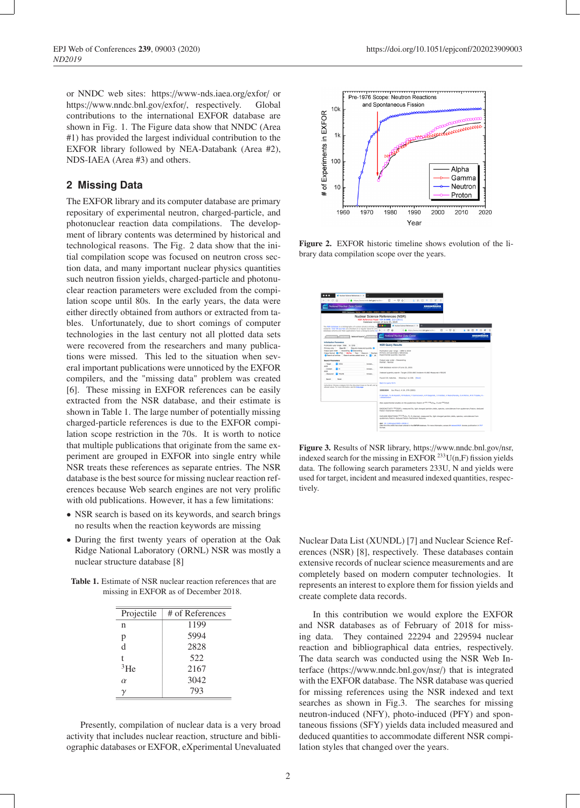or NNDC web sites: https://www-nds.iaea.org/exfor/ or https://www.nndc.bnl.gov/exfor/, respectively. Global contributions to the international EXFOR database are shown in Fig. 1. The Figure data show that NNDC (Area #1) has provided the largest individual contribution to the EXFOR library followed by NEA-Databank (Area #2), NDS-IAEA (Area #3) and others.

## **2 Missing Data**

The EXFOR library and its computer database are primary repositary of experimental neutron, charged-particle, and photonuclear reaction data compilations. The development of library contents was determined by historical and technological reasons. The Fig. 2 data show that the initial compilation scope was focused on neutron cross section data, and many important nuclear physics quantities such neutron fission yields, charged-particle and photonuclear reaction parameters were excluded from the compilation scope until 80s. In the early years, the data were either directly obtained from authors or extracted from tables. Unfortunately, due to short comings of computer technologies in the last century not all plotted data sets were recovered from the researchers and many publications were missed. This led to the situation when several important publications were unnoticed by the EXFOR compilers, and the "missing data" problem was created [6]. These missing in EXFOR references can be easily extracted from the NSR database, and their estimate is shown in Table 1. The large number of potentially missing charged-particle references is due to the EXFOR compilation scope restriction in the 70s. It is worth to notice that multiple publications that originate from the same experiment are grouped in EXFOR into single entry while NSR treats these references as separate entries. The NSR database is the best source for missing nuclear reaction references because Web search engines are not very prolific with old publications. However, it has a few limitations:

- NSR search is based on its keywords, and search brings no results when the reaction keywords are missing
- During the first twenty years of operation at the Oak Ridge National Laboratory (ORNL) NSR was mostly a nuclear structure database [8]

Table 1. Estimate of NSR nuclear reaction references that are missing in EXFOR as of December 2018.

| Projectile | # of References |
|------------|-----------------|
| n          | 1199            |
| p          | 5994            |
| d          | 2828            |
| t          | 522             |
| 3He        | 2167            |
| $\alpha$   | 3042            |
|            | 793             |
|            |                 |

Presently, compilation of nuclear data is a very broad activity that includes nuclear reaction, structure and bibliographic databases or EXFOR, eXperimental Unevaluated



Figure 2. EXFOR historic timeline shows evolution of the library data compilation scope over the years.

|                                      |                | Nationr Science References (1) 30                                                                                                                                                                    |                                                                                                                    |                                   |  |                                                                          |  |                                                         |  |  |                                                                                                                                         |  |         |  |            |                          |  |
|--------------------------------------|----------------|------------------------------------------------------------------------------------------------------------------------------------------------------------------------------------------------------|--------------------------------------------------------------------------------------------------------------------|-----------------------------------|--|--------------------------------------------------------------------------|--|---------------------------------------------------------|--|--|-----------------------------------------------------------------------------------------------------------------------------------------|--|---------|--|------------|--------------------------|--|
| $\sim$                               | 奋              | C & https://www.nndc.bnl.govinsnitro-                                                                                                                                                                |                                                                                                                    |                                   |  | 日 … 日 ☆                                                                  |  |                                                         |  |  | $+$ nm $+$ m $x$                                                                                                                        |  |         |  |            |                          |  |
|                                      |                | National Nuclear Data Center                                                                                                                                                                         |                                                                                                                    |                                   |  |                                                                          |  |                                                         |  |  | <b>RROOKHAVEN</b>                                                                                                                       |  |         |  |            |                          |  |
|                                      |                | MOO DEMANNE VLOIR, INSRIEVANCHE ENSOF IMBO I ENDE I CSISRS I SIGMI                                                                                                                                   |                                                                                                                    |                                   |  |                                                                          |  |                                                         |  |  |                                                                                                                                         |  |         |  |            |                          |  |
|                                      |                |                                                                                                                                                                                                      | Nuclear Science References (NSR)<br>NSR Reference Paper NJM A 640, 213 (2011)<br>Database version of June 25, 2019 |                                   |  |                                                                          |  |                                                         |  |  |                                                                                                                                         |  |         |  |            |                          |  |
|                                      |                | The MSR database is a bibliography of nuclear physics articles, in<br>research. Over 80 tournals are checked on a requier basis for arti-                                                            |                                                                                                                    | $\bullet$ $\bullet$ $\bullet$     |  |                                                                          |  | A Nuclear Science References (1) X                      |  |  |                                                                                                                                         |  |         |  |            |                          |  |
|                                      |                | database schema and Web applications have undergone some ret $(\leftarrow) \rightarrow$ Cf $\circledast$                                                                                             |                                                                                                                    |                                   |  |                                                                          |  | C & https://www.nndc.bel.gov/nsr/inci                   |  |  |                                                                                                                                         |  | 日 … 日 ☆ |  | $+$ mm $+$ |                          |  |
|                                      | Text Search    | Indexed Search                                                                                                                                                                                       |                                                                                                                    |                                   |  |                                                                          |  | <b>Notional Nuclear Data Center</b>                     |  |  |                                                                                                                                         |  |         |  |            | <b><i>RROOKHAVEN</i></b> |  |
| Initialization Decembers             |                |                                                                                                                                                                                                      |                                                                                                                    |                                   |  |                                                                          |  |                                                         |  |  | NNOC Disabased: NLOet 1 NSR 1 XLNDL 1 ENSOF 1 NSRD 1 ENDF 1 CSESRS 1 Sigma                                                              |  |         |  |            |                          |  |
| Publication year range: 1896 to 2019 |                |                                                                                                                                                                                                      |                                                                                                                    |                                   |  | <b>NSR Query Results</b>                                                 |  |                                                         |  |  |                                                                                                                                         |  |         |  |            |                          |  |
| Primary only; New Alt;               |                | Require measured quantity.<br>Output year order: C Ascending C Descending<br>Output format: CHITML C BibTies C Text C Keynum C Eachani<br>C Search all entries C Search entries added since 6 8 / 26 |                                                                                                                    | Primary and secondary references. |  | Publication year range : 1896 to 2019<br>Experimental quantity required. |  |                                                         |  |  |                                                                                                                                         |  |         |  |            |                          |  |
| <b>Search Personators</b>            |                |                                                                                                                                                                                                      |                                                                                                                    |                                   |  | Output year order : Descending                                           |  |                                                         |  |  |                                                                                                                                         |  |         |  |            |                          |  |
| - Tarmet<br>AND.                     | <b>B</b> PANA  |                                                                                                                                                                                                      | hrough.                                                                                                            | Format : Normal                   |  |                                                                          |  |                                                         |  |  |                                                                                                                                         |  |         |  |            |                          |  |
| - Incident                           | Rв             |                                                                                                                                                                                                      | brawse.                                                                                                            |                                   |  | NSR database version of June 25, 2019.                                   |  |                                                         |  |  |                                                                                                                                         |  |         |  |            |                          |  |
| AND.<br>- Measured                   | <b>B</b> YELDS |                                                                                                                                                                                                      | brease                                                                                                             |                                   |  |                                                                          |  |                                                         |  |  | Indexed quantity search: Target+233U AND Incident+N AND Measured+Y35LDS                                                                 |  |         |  |            |                          |  |
| Search.                              | Ornat          |                                                                                                                                                                                                      |                                                                                                                    |                                   |  |                                                                          |  | Found 101 matches. Showing 1 to 100. [Nort]             |  |  |                                                                                                                                         |  |         |  |            |                          |  |
|                                      |                | Instructions: Choose a category from the drop-down boxes on the left, and he                                                                                                                         |                                                                                                                    | Back to cuery form                |  |                                                                          |  |                                                         |  |  |                                                                                                                                         |  |         |  |            |                          |  |
|                                      |                | alowed values. For more information, see the help page.                                                                                                                                              |                                                                                                                    |                                   |  |                                                                          |  | 20053E04 Eur.Phys.3, A.24, 379 (2005)                   |  |  | F.Jesinger, Yu.N.Kopatch, H.Mutterer, F.Gonnenwein, A.M.Gagarski, J.V.Xalben, V.Mesvizhevsky, G.A.Petrov, W.H.Trzaska, H .-             |  |         |  |            |                          |  |
|                                      |                |                                                                                                                                                                                                      |                                                                                                                    | 3 Wellandsche                     |  |                                                                          |  |                                                         |  |  |                                                                                                                                         |  |         |  |            |                          |  |
|                                      |                |                                                                                                                                                                                                      |                                                                                                                    |                                   |  |                                                                          |  |                                                         |  |  | New experimental shalles on the pusheroury Socion of 233, 235 UVA-, f) and 257 (Waft                                                    |  |         |  |            |                          |  |
|                                      |                |                                                                                                                                                                                                      |                                                                                                                    | fasion mechanism features.        |  |                                                                          |  |                                                         |  |  | RADIOACTIVITY <sup>252</sup> CIISF); measured Eq. light charged particle vields, spectra, coincidences from quaternary fission; deduced |  |         |  |            |                          |  |
|                                      |                |                                                                                                                                                                                                      |                                                                                                                    |                                   |  |                                                                          |  | quaternary fission; deduced fission mechanism features. |  |  | NUCLEAR REACTIONS 233,235 U(r, F), E=thermal; measured Eo, light charged particle yields, spectra, coincidences from                    |  |         |  |            |                          |  |
|                                      |                |                                                                                                                                                                                                      |                                                                                                                    | format.                           |  | 640 10.1140 (enla 12005-10026-2)                                         |  |                                                         |  |  | Data from this article have been entered in the EXPOR database. For more information, access X4 dataset22925. Access publication in FDF |  |         |  |            |                          |  |
|                                      |                |                                                                                                                                                                                                      |                                                                                                                    |                                   |  |                                                                          |  |                                                         |  |  |                                                                                                                                         |  |         |  |            |                          |  |

Figure 3. Results of NSR library, https://www.nndc.bnl.gov/nsr, indexed search for the missing in EXFOR  $^{233}$ U(n,F) fission yields data. The following search parameters 233U, N and yields were used for target, incident and measured indexed quantities, respectively.

Nuclear Data List (XUNDL) [7] and Nuclear Science References (NSR) [8], respectively. These databases contain extensive records of nuclear science measurements and are completely based on modern computer technologies. It represents an interest to explore them for fission yields and create complete data records.

In this contribution we would explore the EXFOR and NSR databases as of February of 2018 for missing data. They contained 22294 and 229594 nuclear reaction and bibliographical data entries, respectively. The data search was conducted using the NSR Web Interface (https://www.nndc.bnl.gov/nsr/) that is integrated with the EXFOR database. The NSR database was queried for missing references using the NSR indexed and text searches as shown in Fig.3. The searches for missing neutron-induced (NFY), photo-induced (PFY) and spontaneous fissions (SFY) yields data included measured and deduced quantities to accommodate different NSR compilation styles that changed over the years.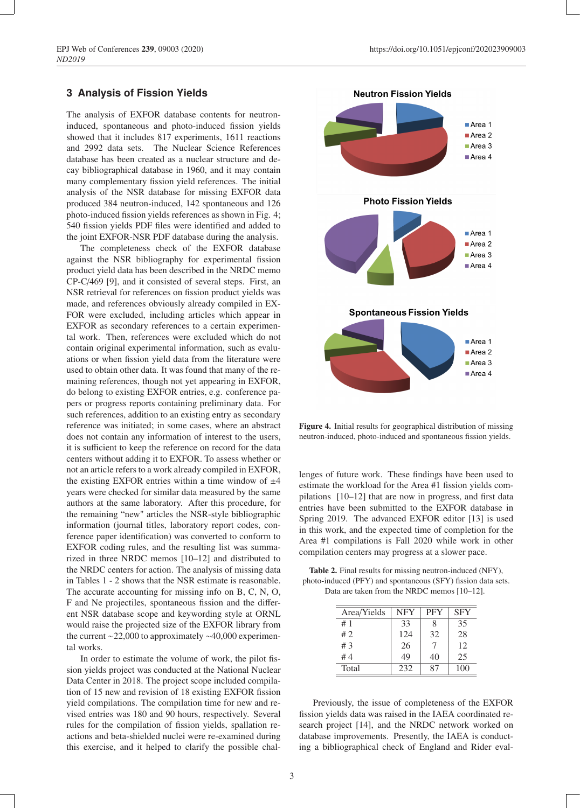#### **3 Analysis of Fission Yields**

The analysis of EXFOR database contents for neutroninduced, spontaneous and photo-induced fission yields showed that it includes 817 experiments, 1611 reactions and 2992 data sets. The Nuclear Science References database has been created as a nuclear structure and decay bibliographical database in 1960, and it may contain many complementary fission yield references. The initial analysis of the NSR database for missing EXFOR data produced 384 neutron-induced, 142 spontaneous and 126 photo-induced fission yields references as shown in Fig. 4; 540 fission yields PDF files were identified and added to the joint EXFOR-NSR PDF database during the analysis.

The completeness check of the EXFOR database against the NSR bibliography for experimental fission product yield data has been described in the NRDC memo CP-C/469 [9], and it consisted of several steps. First, an NSR retrieval for references on fission product yields was made, and references obviously already compiled in EX-FOR were excluded, including articles which appear in EXFOR as secondary references to a certain experimental work. Then, references were excluded which do not contain original experimental information, such as evaluations or when fission yield data from the literature were used to obtain other data. It was found that many of the remaining references, though not yet appearing in EXFOR, do belong to existing EXFOR entries, e.g. conference papers or progress reports containing preliminary data. For such references, addition to an existing entry as secondary reference was initiated; in some cases, where an abstract does not contain any information of interest to the users, it is sufficient to keep the reference on record for the data centers without adding it to EXFOR. To assess whether or not an article refers to a work already compiled in EXFOR, the existing EXFOR entries within a time window of  $\pm 4$ years were checked for similar data measured by the same authors at the same laboratory. After this procedure, for the remaining "new" articles the NSR-style bibliographic information (journal titles, laboratory report codes, conference paper identification) was converted to conform to EXFOR coding rules, and the resulting list was summarized in three NRDC memos [10–12] and distributed to the NRDC centers for action. The analysis of missing data in Tables 1 - 2 shows that the NSR estimate is reasonable. The accurate accounting for missing info on B, C, N, O, F and Ne projectiles, spontaneous fission and the different NSR database scope and keywording style at ORNL would raise the projected size of the EXFOR library from the current ∼22,000 to approximately ∼40,000 experimental works.

In order to estimate the volume of work, the pilot fission yields project was conducted at the National Nuclear Data Center in 2018. The project scope included compilation of 15 new and revision of 18 existing EXFOR fission yield compilations. The compilation time for new and revised entries was 180 and 90 hours, respectively. Several rules for the compilation of fission yields, spallation reactions and beta-shielded nuclei were re-examined during this exercise, and it helped to clarify the possible chal-



Figure 4. Initial results for geographical distribution of missing neutron-induced, photo-induced and spontaneous fission yields.

lenges of future work. These findings have been used to estimate the workload for the Area #1 fission yields compilations [10–12] that are now in progress, and first data entries have been submitted to the EXFOR database in Spring 2019. The advanced EXFOR editor [13] is used in this work, and the expected time of completion for the Area #1 compilations is Fall 2020 while work in other compilation centers may progress at a slower pace.

Table 2. Final results for missing neutron-induced (NFY), photo-induced (PFY) and spontaneous (SFY) fission data sets. Data are taken from the NRDC memos [10–12].

| Area/Yields | <b>NFY</b> | <b>PFY</b> | <b>SFY</b> |
|-------------|------------|------------|------------|
| #1          | 33         | 8          | 35         |
| #2          | 124        | 32         | 28         |
| #3          | 26         |            | 12         |
| #4          | 49         | 40         | 25         |
| Total       | 232        | 87         | 100        |

Previously, the issue of completeness of the EXFOR fission yields data was raised in the IAEA coordinated research project [14], and the NRDC network worked on database improvements. Presently, the IAEA is conducting a bibliographical check of England and Rider eval-